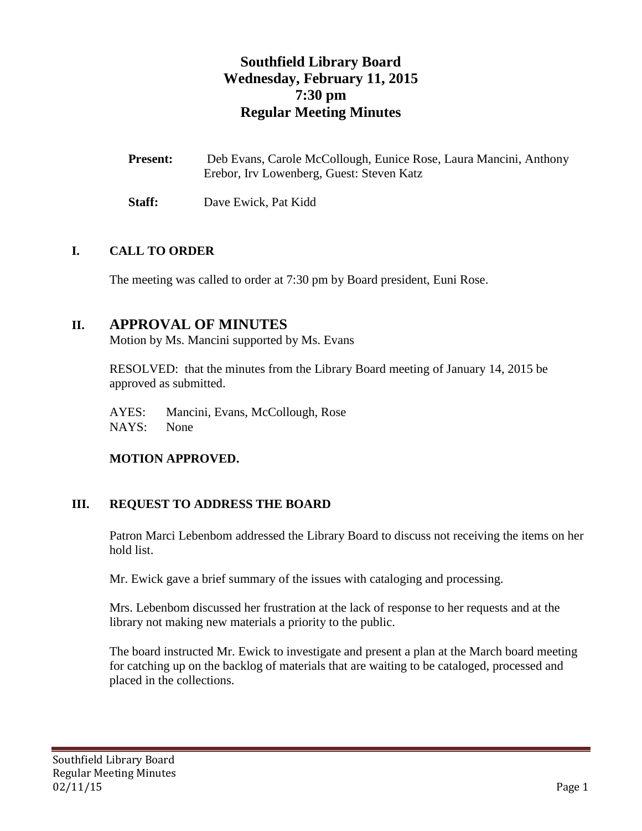# **Southfield Library Board Wednesday, February 11, 2015 7:30 pm Regular Meeting Minutes**

| <b>Present:</b> | Deb Evans, Carole McCollough, Eunice Rose, Laura Mancini, Anthony |
|-----------------|-------------------------------------------------------------------|
|                 | Erebor, Irv Lowenberg, Guest: Steven Katz                         |

**Staff:** Dave Ewick, Pat Kidd

## **I. CALL TO ORDER**

The meeting was called to order at 7:30 pm by Board president, Euni Rose.

## **II. APPROVAL OF MINUTES**

Motion by Ms. Mancini supported by Ms. Evans

RESOLVED: that the minutes from the Library Board meeting of January 14, 2015 be approved as submitted.

AYES: Mancini, Evans, McCollough, Rose

NAYS: None

#### **MOTION APPROVED.**

## **III. REQUEST TO ADDRESS THE BOARD**

Patron Marci Lebenbom addressed the Library Board to discuss not receiving the items on her hold list.

Mr. Ewick gave a brief summary of the issues with cataloging and processing.

Mrs. Lebenbom discussed her frustration at the lack of response to her requests and at the library not making new materials a priority to the public.

The board instructed Mr. Ewick to investigate and present a plan at the March board meeting for catching up on the backlog of materials that are waiting to be cataloged, processed and placed in the collections.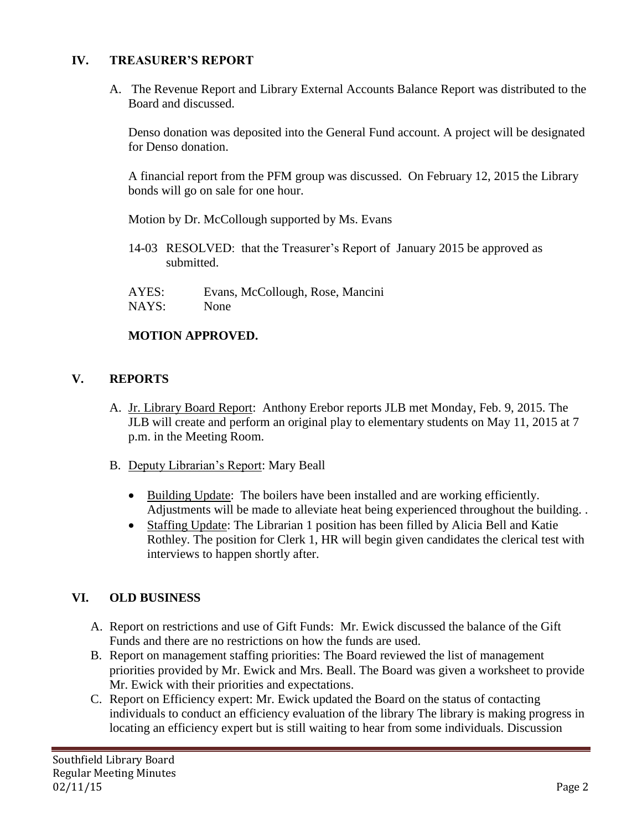## **IV. TREASURER'S REPORT**

A. The Revenue Report and Library External Accounts Balance Report was distributed to the Board and discussed.

Denso donation was deposited into the General Fund account. A project will be designated for Denso donation.

A financial report from the PFM group was discussed. On February 12, 2015 the Library bonds will go on sale for one hour.

Motion by Dr. McCollough supported by Ms. Evans

14-03 RESOLVED: that the Treasurer's Report of January 2015 be approved as submitted.

AYES: Evans, McCollough, Rose, Mancini NAYS: None

## **MOTION APPROVED.**

## **V. REPORTS**

- A. Jr. Library Board Report: Anthony Erebor reports JLB met Monday, Feb. 9, 2015. The JLB will create and perform an original play to elementary students on May 11, 2015 at 7 p.m. in the Meeting Room.
- B. Deputy Librarian's Report: Mary Beall
	- Building Update: The boilers have been installed and are working efficiently. Adjustments will be made to alleviate heat being experienced throughout the building. .
	- Staffing Update: The Librarian 1 position has been filled by Alicia Bell and Katie Rothley. The position for Clerk 1, HR will begin given candidates the clerical test with interviews to happen shortly after.

## **VI. OLD BUSINESS**

- A. Report on restrictions and use of Gift Funds: Mr. Ewick discussed the balance of the Gift Funds and there are no restrictions on how the funds are used.
- B. Report on management staffing priorities: The Board reviewed the list of management priorities provided by Mr. Ewick and Mrs. Beall. The Board was given a worksheet to provide Mr. Ewick with their priorities and expectations.
- C. Report on Efficiency expert: Mr. Ewick updated the Board on the status of contacting individuals to conduct an efficiency evaluation of the library The library is making progress in locating an efficiency expert but is still waiting to hear from some individuals. Discussion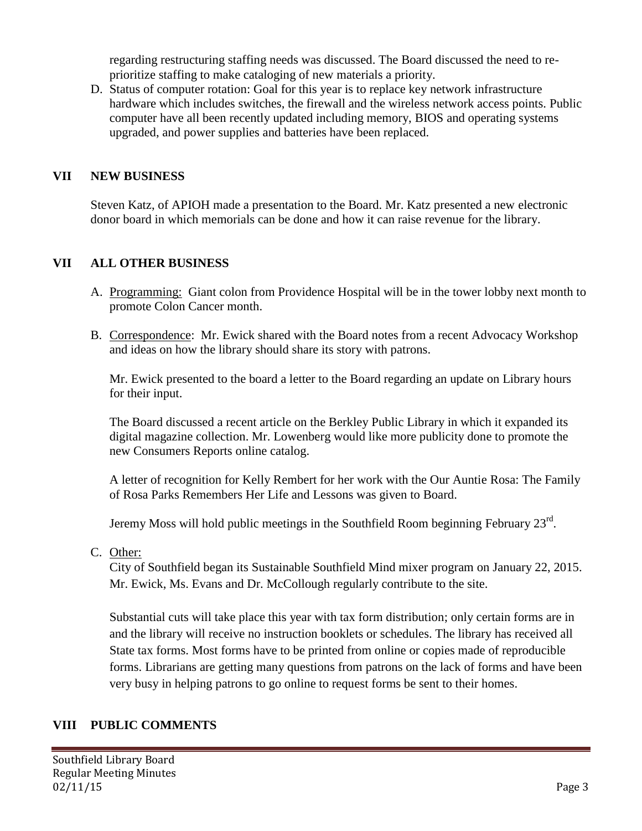regarding restructuring staffing needs was discussed. The Board discussed the need to reprioritize staffing to make cataloging of new materials a priority.

D. Status of computer rotation: Goal for this year is to replace key network infrastructure hardware which includes switches, the firewall and the wireless network access points. Public computer have all been recently updated including memory, BIOS and operating systems upgraded, and power supplies and batteries have been replaced.

#### **VII NEW BUSINESS**

Steven Katz, of APIOH made a presentation to the Board. Mr. Katz presented a new electronic donor board in which memorials can be done and how it can raise revenue for the library.

#### **VII ALL OTHER BUSINESS**

- A. Programming: Giant colon from Providence Hospital will be in the tower lobby next month to promote Colon Cancer month.
- B. Correspondence: Mr. Ewick shared with the Board notes from a recent Advocacy Workshop and ideas on how the library should share its story with patrons.

Mr. Ewick presented to the board a letter to the Board regarding an update on Library hours for their input.

The Board discussed a recent article on the Berkley Public Library in which it expanded its digital magazine collection. Mr. Lowenberg would like more publicity done to promote the new Consumers Reports online catalog.

A letter of recognition for Kelly Rembert for her work with the Our Auntie Rosa: The Family of Rosa Parks Remembers Her Life and Lessons was given to Board.

Jeremy Moss will hold public meetings in the Southfield Room beginning February  $23<sup>rd</sup>$ .

C. Other:

City of Southfield began its Sustainable Southfield Mind mixer program on January 22, 2015. Mr. Ewick, Ms. Evans and Dr. McCollough regularly contribute to the site.

Substantial cuts will take place this year with tax form distribution; only certain forms are in and the library will receive no instruction booklets or schedules. The library has received all State tax forms. Most forms have to be printed from online or copies made of reproducible forms. Librarians are getting many questions from patrons on the lack of forms and have been very busy in helping patrons to go online to request forms be sent to their homes.

#### **VIII PUBLIC COMMENTS**